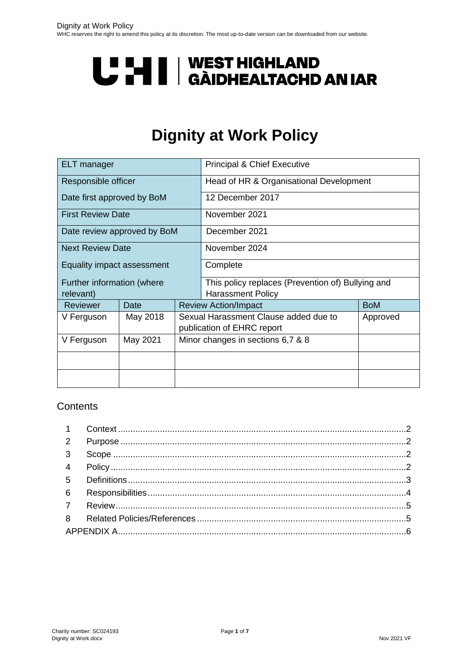# **U "HI | WEST HIGHLAND<br>U THI | GÀIDHEALTACHD AN IAR**

# **Dignity at Work Policy**

| <b>ELT</b> manager                      |          |                                                                                 | <b>Principal &amp; Chief Executive</b>                                        |            |  |
|-----------------------------------------|----------|---------------------------------------------------------------------------------|-------------------------------------------------------------------------------|------------|--|
| Responsible officer                     |          |                                                                                 | Head of HR & Organisational Development                                       |            |  |
| Date first approved by BoM              |          |                                                                                 | 12 December 2017                                                              |            |  |
| <b>First Review Date</b>                |          |                                                                                 | November 2021                                                                 |            |  |
| Date review approved by BoM             |          |                                                                                 | December 2021                                                                 |            |  |
| <b>Next Review Date</b>                 |          |                                                                                 | November 2024                                                                 |            |  |
| Equality impact assessment              |          |                                                                                 | Complete                                                                      |            |  |
| Further information (where<br>relevant) |          |                                                                                 | This policy replaces (Prevention of) Bullying and<br><b>Harassment Policy</b> |            |  |
| Reviewer                                | Date     |                                                                                 | <b>Review Action/Impact</b>                                                   | <b>BoM</b> |  |
| V Ferguson                              | May 2018 | Sexual Harassment Clause added due to<br>Approved<br>publication of EHRC report |                                                                               |            |  |
| V Ferguson                              | May 2021 | Minor changes in sections 6,7 & 8                                               |                                                                               |            |  |
|                                         |          |                                                                                 |                                                                               |            |  |
|                                         |          |                                                                                 |                                                                               |            |  |

#### **Contents**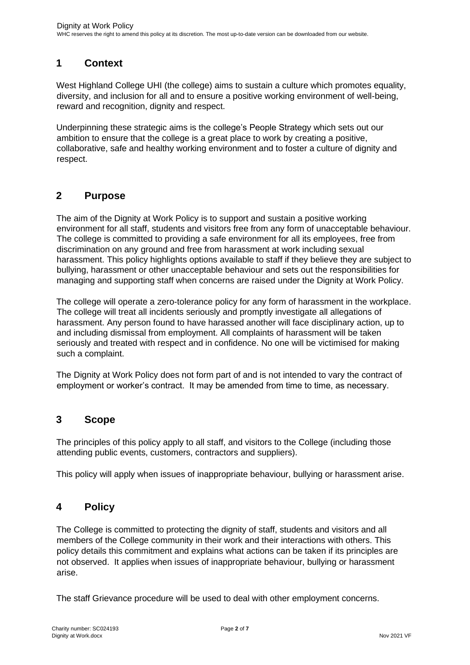#### <span id="page-1-0"></span>**1 Context**

West Highland College UHI (the college) aims to sustain a culture which promotes equality, diversity, and inclusion for all and to ensure a positive working environment of well-being, reward and recognition, dignity and respect.

Underpinning these strategic aims is the college's People Strategy which sets out our ambition to ensure that the college is a great place to work by creating a positive, collaborative, safe and healthy working environment and to foster a culture of dignity and respect.

#### <span id="page-1-1"></span>**2 Purpose**

The aim of the Dignity at Work Policy is to support and sustain a positive working environment for all staff, students and visitors free from any form of unacceptable behaviour. The college is committed to providing a safe environment for all its employees, free from discrimination on any ground and free from harassment at work including sexual harassment. This policy highlights options available to staff if they believe they are subject to bullying, harassment or other unacceptable behaviour and sets out the responsibilities for managing and supporting staff when concerns are raised under the Dignity at Work Policy.

The college will operate a zero-tolerance policy for any form of harassment in the workplace. The college will treat all incidents seriously and promptly investigate all allegations of harassment. Any person found to have harassed another will face disciplinary action, up to and including dismissal from employment. All complaints of harassment will be taken seriously and treated with respect and in confidence. No one will be victimised for making such a complaint.

The Dignity at Work Policy does not form part of and is not intended to vary the contract of employment or worker's contract. It may be amended from time to time, as necessary.

#### <span id="page-1-2"></span>**3 Scope**

The principles of this policy apply to all staff, and visitors to the College (including those attending public events, customers, contractors and suppliers).

This policy will apply when issues of inappropriate behaviour, bullying or harassment arise.

#### <span id="page-1-3"></span>**4 Policy**

The College is committed to protecting the dignity of staff, students and visitors and all members of the College community in their work and their interactions with others. This policy details this commitment and explains what actions can be taken if its principles are not observed. It applies when issues of inappropriate behaviour, bullying or harassment arise.

The staff Grievance procedure will be used to deal with other employment concerns.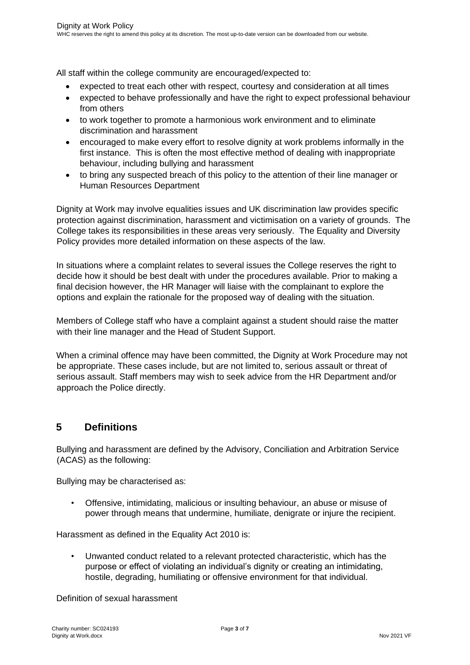All staff within the college community are encouraged/expected to:

- expected to treat each other with respect, courtesy and consideration at all times
- expected to behave professionally and have the right to expect professional behaviour from others
- to work together to promote a harmonious work environment and to eliminate discrimination and harassment
- encouraged to make every effort to resolve dignity at work problems informally in the first instance. This is often the most effective method of dealing with inappropriate behaviour, including bullying and harassment
- to bring any suspected breach of this policy to the attention of their line manager or Human Resources Department

Dignity at Work may involve equalities issues and UK discrimination law provides specific protection against discrimination, harassment and victimisation on a variety of grounds. The College takes its responsibilities in these areas very seriously. The Equality and Diversity Policy provides more detailed information on these aspects of the law.

In situations where a complaint relates to several issues the College reserves the right to decide how it should be best dealt with under the procedures available. Prior to making a final decision however, the HR Manager will liaise with the complainant to explore the options and explain the rationale for the proposed way of dealing with the situation.

Members of College staff who have a complaint against a student should raise the matter with their line manager and the Head of Student Support.

When a criminal offence may have been committed, the Dignity at Work Procedure may not be appropriate. These cases include, but are not limited to, serious assault or threat of serious assault. Staff members may wish to seek advice from the HR Department and/or approach the Police directly.

# <span id="page-2-0"></span>**5 Definitions**

Bullying and harassment are defined by the Advisory, Conciliation and Arbitration Service (ACAS) as the following:

Bullying may be characterised as:

• Offensive, intimidating, malicious or insulting behaviour, an abuse or misuse of power through means that undermine, humiliate, denigrate or injure the recipient.

Harassment as defined in the Equality Act 2010 is:

• Unwanted conduct related to a relevant protected characteristic, which has the purpose or effect of violating an individual's dignity or creating an intimidating, hostile, degrading, humiliating or offensive environment for that individual.

Definition of sexual harassment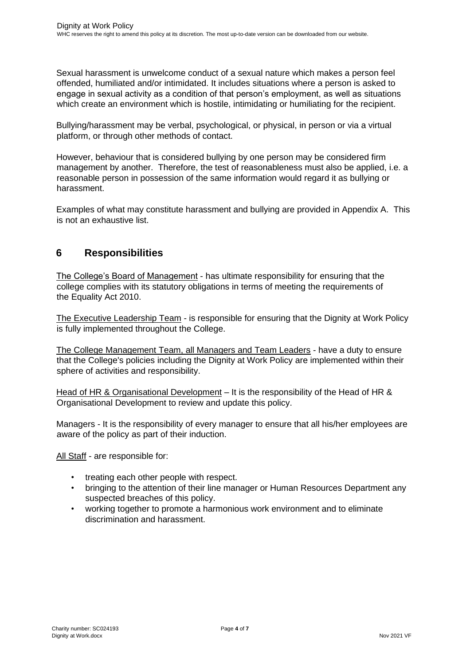Sexual harassment is unwelcome conduct of a sexual nature which makes a person feel offended, humiliated and/or intimidated. It includes situations where a person is asked to engage in sexual activity as a condition of that person's employment, as well as situations which create an environment which is hostile, intimidating or humiliating for the recipient.

Bullying/harassment may be verbal, psychological, or physical, in person or via a virtual platform, or through other methods of contact.

However, behaviour that is considered bullying by one person may be considered firm management by another. Therefore, the test of reasonableness must also be applied, i.e. a reasonable person in possession of the same information would regard it as bullying or harassment.

Examples of what may constitute harassment and bullying are provided in Appendix A. This is not an exhaustive list.

### <span id="page-3-0"></span>**6 Responsibilities**

The College's Board of Management - has ultimate responsibility for ensuring that the college complies with its statutory obligations in terms of meeting the requirements of the Equality Act 2010.

The Executive Leadership Team - is responsible for ensuring that the Dignity at Work Policy is fully implemented throughout the College.

The College Management Team, all Managers and Team Leaders - have a duty to ensure that the College's policies including the Dignity at Work Policy are implemented within their sphere of activities and responsibility.

Head of HR & Organisational Development – It is the responsibility of the Head of HR & Organisational Development to review and update this policy.

Managers - It is the responsibility of every manager to ensure that all his/her employees are aware of the policy as part of their induction.

All Staff - are responsible for:

- treating each other people with respect.
- bringing to the attention of their line manager or Human Resources Department any suspected breaches of this policy.
- working together to promote a harmonious work environment and to eliminate discrimination and harassment.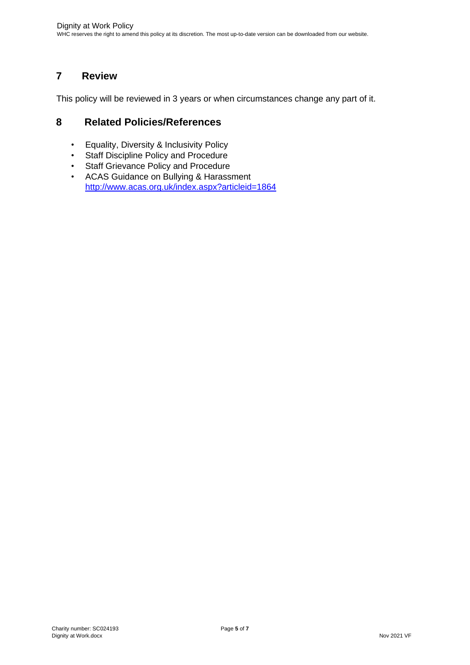# <span id="page-4-0"></span>**7 Review**

This policy will be reviewed in 3 years or when circumstances change any part of it.

#### <span id="page-4-1"></span>**8 Related Policies/References**

- Equality, Diversity & Inclusivity Policy<br>• Staff Discipline Policy and Procedure
- Staff Discipline Policy and Procedure
- Staff Grievance Policy and Procedure
- ACAS Guidance on Bullying & Harassment <http://www.acas.org.uk/index.aspx?articleid=1864>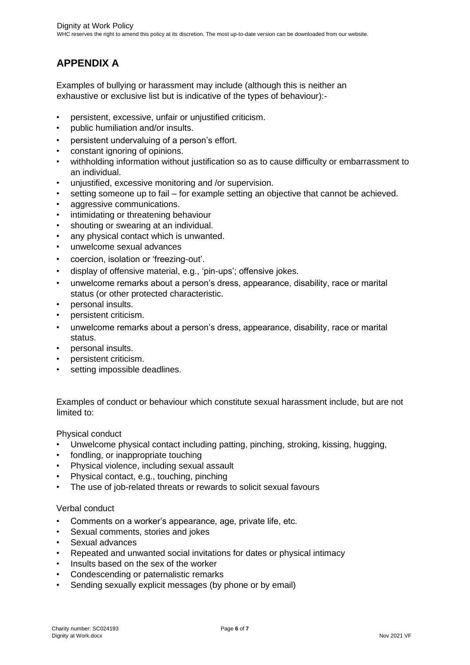# <span id="page-5-0"></span>**APPENDIX A**

Examples of bullying or harassment may include (although this is neither an exhaustive or exclusive list but is indicative of the types of behaviour):-

- persistent, excessive, unfair or unjustified criticism.
- public humiliation and/or insults.
- persistent undervaluing of a person's effort.
- constant ignoring of opinions.
- withholding information without justification so as to cause difficulty or embarrassment to an individual.
- unjustified, excessive monitoring and /or supervision.
- setting someone up to fail for example setting an objective that cannot be achieved.
- aggressive communications.
- intimidating or threatening behaviour
- shouting or swearing at an individual.
- any physical contact which is unwanted.
- unwelcome sexual advances
- coercion, isolation or 'freezing-out'.
- display of offensive material, e.g., 'pin-ups'; offensive jokes.
- unwelcome remarks about a person's dress, appearance, disability, race or marital status (or other protected characteristic.
- personal insults.
- persistent criticism.
- unwelcome remarks about a person's dress, appearance, disability, race or marital status.
- personal insults.
- persistent criticism.
- setting impossible deadlines.

Examples of conduct or behaviour which constitute sexual harassment include, but are not limited to:

Physical conduct

- Unwelcome physical contact including patting, pinching, stroking, kissing, hugging,
- fondling, or inappropriate touching
- Physical violence, including sexual assault
- Physical contact, e.g., touching, pinching
- The use of job-related threats or rewards to solicit sexual favours

#### Verbal conduct

- Comments on a worker's appearance, age, private life, etc.
- Sexual comments, stories and jokes
- Sexual advances
- Repeated and unwanted social invitations for dates or physical intimacy
- Insults based on the sex of the worker
- Condescending or paternalistic remarks
- Sending sexually explicit messages (by phone or by email)